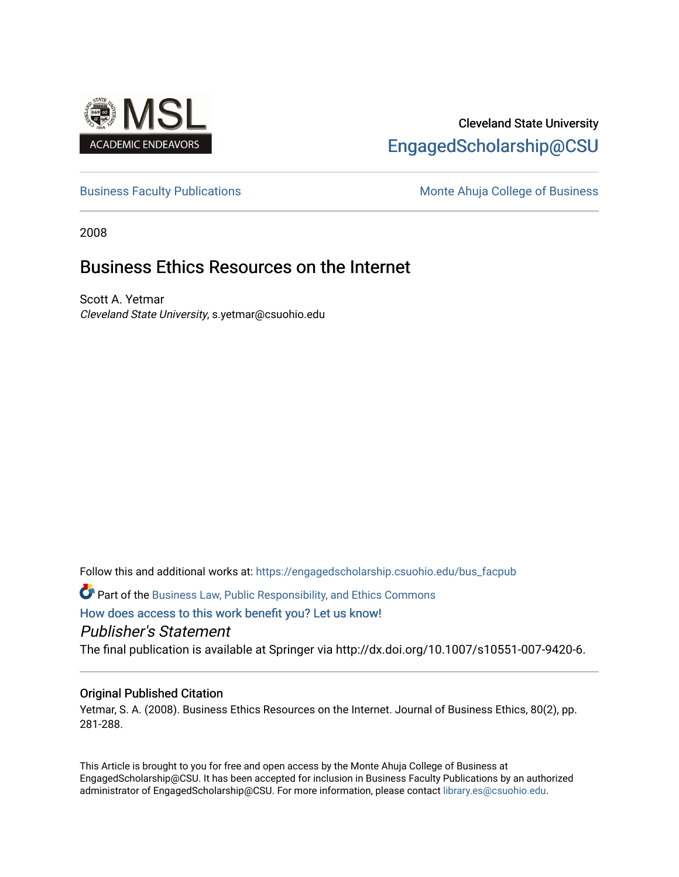

## Cleveland State University [EngagedScholarship@CSU](https://engagedscholarship.csuohio.edu/)

[Business Faculty Publications](https://engagedscholarship.csuohio.edu/bus_facpub) **Monte Ahuja College of Business** Monte Ahuja College of Business

2008

# Business Ethics Resources on the Internet

Scott A. Yetmar Cleveland State University, s.yetmar@csuohio.edu

Follow this and additional works at: [https://engagedscholarship.csuohio.edu/bus\\_facpub](https://engagedscholarship.csuohio.edu/bus_facpub?utm_source=engagedscholarship.csuohio.edu%2Fbus_facpub%2F15&utm_medium=PDF&utm_campaign=PDFCoverPages) 

Part of the [Business Law, Public Responsibility, and Ethics Commons](http://network.bepress.com/hgg/discipline/628?utm_source=engagedscholarship.csuohio.edu%2Fbus_facpub%2F15&utm_medium=PDF&utm_campaign=PDFCoverPages) 

[How does access to this work benefit you? Let us know!](http://library.csuohio.edu/engaged/)

Publisher's Statement

The final publication is available at Springer via http://dx.doi.org/10.1007/s10551-007-9420-6.

## Original Published Citation

Yetmar, S. A. (2008). Business Ethics Resources on the Internet. Journal of Business Ethics, 80(2), pp. 281-288.

This Article is brought to you for free and open access by the Monte Ahuja College of Business at EngagedScholarship@CSU. It has been accepted for inclusion in Business Faculty Publications by an authorized administrator of EngagedScholarship@CSU. For more information, please contact [library.es@csuohio.edu.](mailto:library.es@csuohio.edu)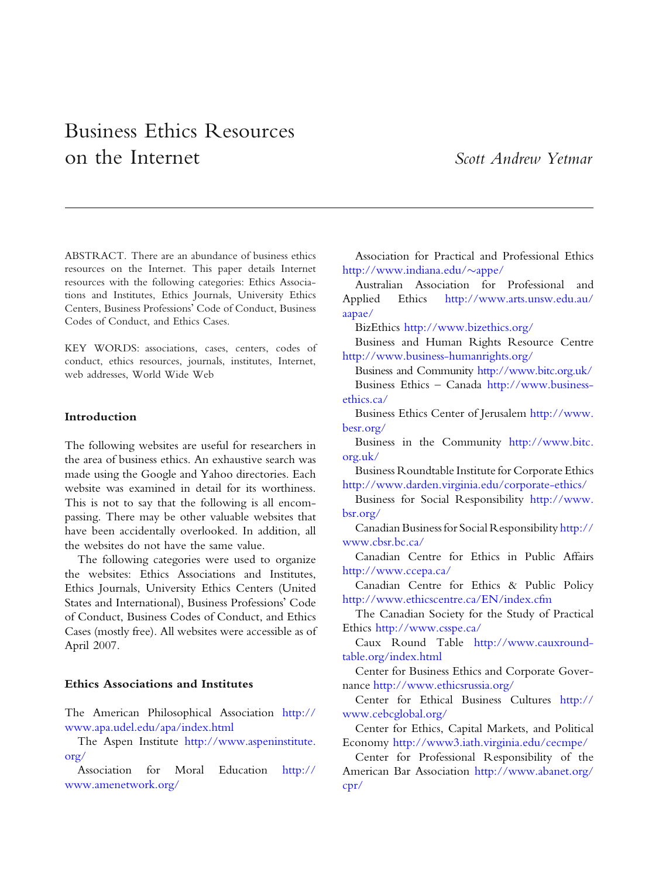# Business Ethics Resources on the Internet Scott Andrew Yetmar

ABSTRACT. There are an abundance of business ethics resources on the Internet. This paper details Internet resources with the following categories: Ethics Associations and Institutes, Ethics Journals, University Ethics Centers, Business Professions' Code of Conduct, Business Codes of Conduct, and Ethics Cases.

KEY WORDS: associations, cases, centers, codes of conduct, ethics resources, journals, institutes, Internet, web addresses, World Wide Web

#### Introduction

The following websites are useful for researchers in the area of business ethics. An exhaustive search was made using the Google and Yahoo directories. Each website was examined in detail for its worthiness. This is not to say that the following is all encompassing. There may be other valuable websites that have been accidentally overlooked. In addition, all the websites do not have the same value.

The following categories were used to organize the websites: Ethics Associations and Institutes, Ethics Journals, University Ethics Centers (United States and International), Business Professions' Code of Conduct, Business Codes of Conduct, and Ethics Cases (mostly free). All websites were accessible as of April 2007.

#### Ethics Associations and Institutes

The American Philosophical Association [http://](http://www.apa.udel.edu/apa/index.html)  [www.apa.udel.edu/apa/index.html](http://www.apa.udel.edu/apa/index.html)

The Aspen Institute [http://www.aspeninstitute.](http://www.aspeninstitute.org/)  [org/](http://www.aspeninstitute.org/)

Association for Moral Education [http://](http://www.amenetwork.org/)  [www.amenetwork.org/](http://www.amenetwork.org/)

Association for Practical and Professional Ethics [http://www.indiana.edu/](http://www.indiana.edu/∼appe/) $\sim$ appe/

Australian Association for Professional and Applied Ethics [http://www.arts.unsw.edu.au/](http://www.arts.unsw.edu.au/aapae/)  [aapae/](http://www.arts.unsw.edu.au/aapae/) 

BizEthics <http://www.bizethics.org/>

Business and Human Rights Resource Centre <http://www.business-humanrights.org/>

Business and Community <http://www.bitc.org.uk/> Business Ethics – Canada [http://www.business](http://www.businessethics.ca/)[ethics.ca/](http://www.businessethics.ca/) 

Business Ethics Center of Jerusalem [http://www.](http://www.besr.org/)  [besr.org/](http://www.besr.org/)

Business in the Community [http://www.bitc.](http://www.bitc.org.uk/)  [org.uk/](http://www.bitc.org.uk/)

Business Roundtable Institute for Corporate Ethics <http://www.darden.virginia.edu/corporate-ethics/>

Business for Social Responsibility [http://www.](http://www.bsr.org/)  [bsr.org/](http://www.bsr.org/)

Canadian Business for Social Responsibility [http://](http://www.cbsr.bc.ca/)  [www.cbsr.bc.ca/](http://www.cbsr.bc.ca/) 

Canadian Centre for Ethics in Public Affairs <http://www.ccepa.ca/>

Canadian Centre for Ethics & Public Policy <http://www.ethicscentre.ca/EN/index.cfm>

The Canadian Society for the Study of Practical Ethics <http://www.csspe.ca/>

Caux Round Table [http://www.cauxround](http://www.cauxroundtable.org/index.html)[table.org/index.html](http://www.cauxroundtable.org/index.html) 

Center for Business Ethics and Corporate Governance <http://www.ethicsrussia.org/>

Center for Ethical Business Cultures [http://](http://www.cebcglobal.org/)  [www.cebcglobal.org/](http://www.cebcglobal.org/) 

Center for Ethics, Capital Markets, and Political Economy <http://www3.iath.virginia.edu/cecmpe/>

Center for Professional Responsibility of the American Bar Association [http://www.abanet.org/](http://www.abanet.org/cpr/)  [cpr/](http://www.abanet.org/cpr/)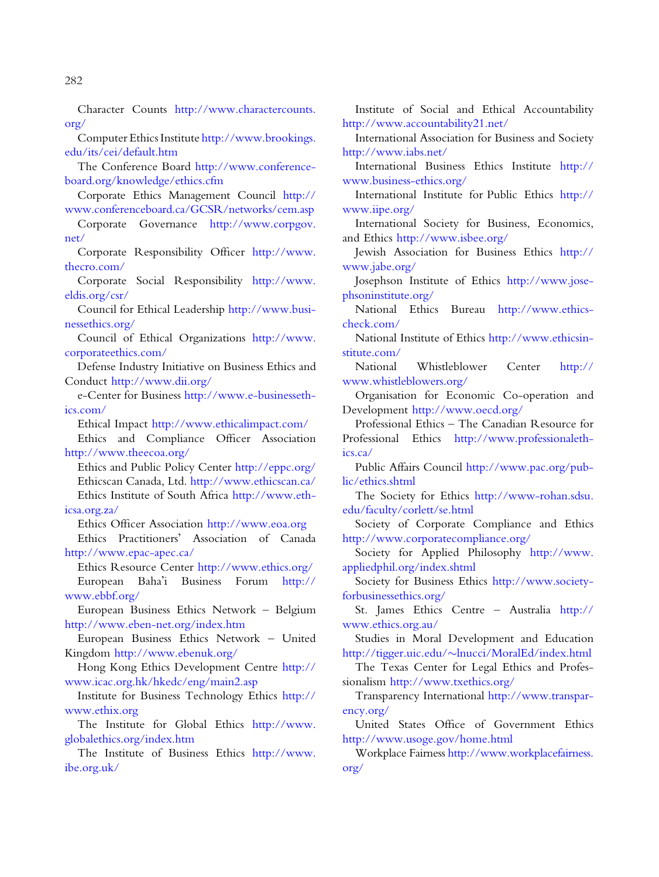Character Counts [http://www.charactercounts.](http://www.charactercounts.org/)  [org/](http://www.charactercounts.org/)

Computer Ethics Institute [http://www.brookings.](http://www.brookings.edu/its/cei/default.htm)  [edu/its/cei/default.htm](http://www.brookings.edu/its/cei/default.htm) 

The Conference Board [http://www.conference](http://www.conference-board.org/knowledge/ethics.cfm)[board.org/knowledge/ethics.cfm](http://www.conference-board.org/knowledge/ethics.cfm) 

Corporate Ethics Management Council [http://](http://www.conferenceboard.ca/GCSR/networks/cem.asp)  [www.conferenceboard.ca/GCSR/networks/cem.asp](http://www.conferenceboard.ca/GCSR/networks/cem.asp)

Corporate Governance [http://www.corpgov.](http://www.corpgov.net/)  [net/](http://www.corpgov.net/)

Corporate Responsibility Officer [http://www.](http://www.thecro.com/)  [thecro.com/](http://www.thecro.com/)

Corporate Social Responsibility [http://www.](http://www.eldis.org/csr/)  [eldis.org/csr/](http://www.eldis.org/csr/) 

Council for Ethical Leadership [http://www.busi](http://www.businessethics.org/)[nessethics.org/](http://www.businessethics.org/) 

Council of Ethical Organizations [http://www.](http://www.corporateethics.com/)  [corporateethics.com/](http://www.corporateethics.com/)

Defense Industry Initiative on Business Ethics and Conduct <http://www.dii.org/>

e-Center for Business [http://www.e-businesseth](http://www.e-businessethics.com/)[ics.com/](http://www.e-businessethics.com/)

Ethical Impact <http://www.ethicalimpact.com/>

Ethics and Compliance Officer Association <http://www.theecoa.org/>

Ethics and Public Policy Center<http://eppc.org/> Ethicscan Canada, Ltd.<http://www.ethicscan.ca/> Ethics Institute of South Africa [http://www.eth](http://www.ethicsa.org.za/)[icsa.org.za/](http://www.ethicsa.org.za/) 

Ethics Officer Association <http://www.eoa.org> Ethics Practitioners' Association of Canada

<http://www.epac-apec.ca/> Ethics Resource Center <http://www.ethics.org/>

European Baha'i Business Forum [http://](http://www.ebbf.org/)  [www.ebbf.org/](http://www.ebbf.org/) 

European Business Ethics Network – Belgium <http://www.eben-net.org/index.htm>

European Business Ethics Network – United Kingdom <http://www.ebenuk.org/>

Hong Kong Ethics Development Centre [http://](http://www.icac.org.hk/hkedc/eng/main2.asp)  [www.icac.org.hk/hkedc/eng/main2.asp](http://www.icac.org.hk/hkedc/eng/main2.asp)

Institute for Business Technology Ethics [http://](http://www.ethix.org)  [www.ethix.org](http://www.ethix.org) 

The Institute for Global Ethics [http://www.](http://www.globalethics.org/index.htm)  [globalethics.org/index.htm](http://www.globalethics.org/index.htm) 

The Institute of Business Ethics [http://www.](http://www.ibe.org.uk/)  [ibe.org.uk/](http://www.ibe.org.uk/) 

Institute of Social and Ethical Accountability <http://www.accountability21.net/>

International Association for Business and Society <http://www.iabs.net/>

International Business Ethics Institute [http://](http://www.business-ethics.org/)  [www.business-ethics.org/](http://www.business-ethics.org/)

International Institute for Public Ethics [http://](http://www.iipe.org/)  [www.iipe.org/](http://www.iipe.org/)

International Society for Business, Economics, and Ethics <http://www.isbee.org/>

Jewish Association for Business Ethics [http://](http://www.jabe.org/)  [www.jabe.org/](http://www.jabe.org/)

Josephson Institute of Ethics [http://www.jose](http://www.josephsoninstitute.org/)[phsoninstitute.org/](http://www.josephsoninstitute.org/) 

National Ethics Bureau [http://www.ethics](http://www.ethicscheck.com/)[check.com/](http://www.ethicscheck.com/) 

National Institute of Ethics [http://www.ethicsin](http://www.ethicsinstitute.com/)[stitute.com/](http://www.ethicsinstitute.com/) 

National Whistleblower Center [http://](http://www.whistleblowers.org/)  [www.whistleblowers.org/](http://www.whistleblowers.org/)

Organisation for Economic Co-operation and Development <http://www.oecd.org/>

Professional Ethics – The Canadian Resource for Professional Ethics [http://www.professionaleth](http://www.professionalethics.ca/)[ics.ca/](http://www.professionalethics.ca/)

Public Affairs Council [http://www.pac.org/pub](http://www.pac.org/public/ethics.shtml)[lic/ethics.shtml](http://www.pac.org/public/ethics.shtml) 

The Society for Ethics [http://www-rohan.sdsu.](http://www-rohan.sdsu.edu/faculty/corlett/se.html)  [edu/faculty/corlett/se.html](http://www-rohan.sdsu.edu/faculty/corlett/se.html)

Society of Corporate Compliance and Ethics <http://www.corporatecompliance.org/>

Society for Applied Philosophy [http://www.](http://www.appliedphil.org/index.shtml)  [appliedphil.org/index.shtml](http://www.appliedphil.org/index.shtml)

Society for Business Ethics [http://www.society](http://www.societyforbusinessethics.org/)[forbusinessethics.org/](http://www.societyforbusinessethics.org/)

St. James Ethics Centre – Australia [http://](http://www.ethics.org.au/)  [www.ethics.org.au/](http://www.ethics.org.au/)

Studies in Moral Development and Education [http://tigger.uic.edu/](http://tigger.uic.edu/∼lnucci/MoralEd/index.html)~lnucci/MoralEd/index.html

The Texas Center for Legal Ethics and Professionalism <http://www.txethics.org/>

Transparency International [http://www.transpar](http://www.transparency.org/)[ency.org/](http://www.transparency.org/)

United States Office of Government Ethics <http://www.usoge.gov/home.html>

Workplace Fairness [http://www.workplacefairness.](http://www.workplacefairness.org/)  [org/](http://www.workplacefairness.org/)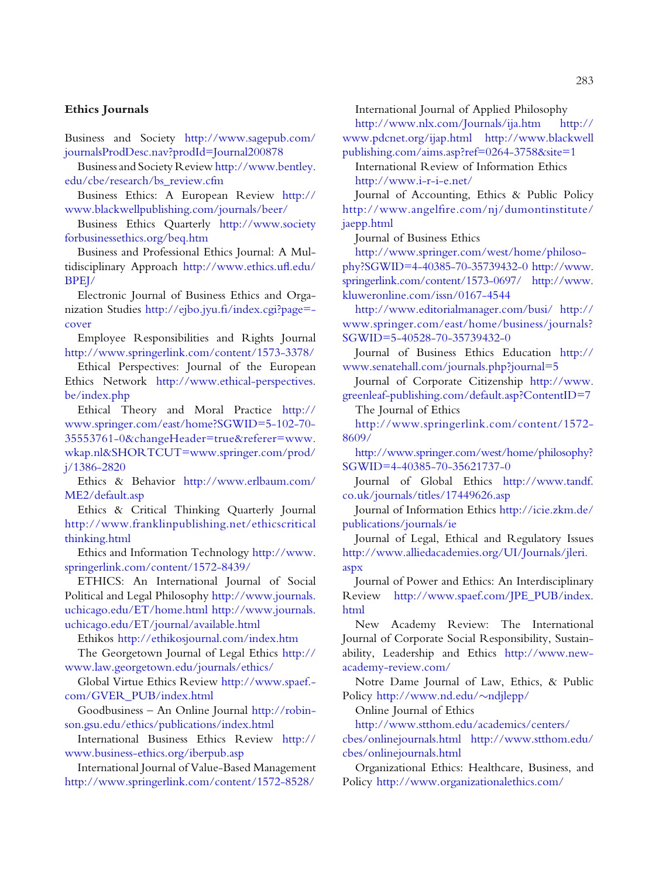#### Ethics Journals

Business and Society [http://www.sagepub.com/](http://www.sagepub.com/journalsProdDesc.nav?prodId=Journal200878)  [journalsProdDesc.nav?prodId=Journal200878](http://www.sagepub.com/journalsProdDesc.nav?prodId=Journal200878)

Business and Society Review [http://www.bentley.](http://www.bentley.edu/cbe/research/bs_review.cfm)  [edu/cbe/research/bs\\_review.cfm](http://www.bentley.edu/cbe/research/bs_review.cfm)

Business Ethics: A European Review [http://](http://www.blackwellpublishing.com/journals/beer/)  [www.blackwellpublishing.com/journals/beer/](http://www.blackwellpublishing.com/journals/beer/) 

Business Ethics Quarterly [http://www.society](http://www.societyforbusinessethics.org/beq.htm)  [forbusinessethics.org/beq.htm](http://www.societyforbusinessethics.org/beq.htm)

Business and Professional Ethics Journal: A Multidisciplinary Approach [http://www.ethics.ufl.edu/](http://www.ethics.ufl.edu/BPEJ/)  [BPEJ/](http://www.ethics.ufl.edu/BPEJ/)

Electronic Journal of Business Ethics and Organization Studies [http://ejbo.jyu.fi/index.cgi?page=](http://ejbo.jyu.fi/index.cgi?page=cover)[cover](http://ejbo.jyu.fi/index.cgi?page=cover) 

Employee Responsibilities and Rights Journal <http://www.springerlink.com/content/1573-3378/>

Ethical Perspectives: Journal of the European Ethics Network [http://www.ethical-perspectives.](http://www.ethical-perspectives.be/index.php)  [be/index.php](http://www.ethical-perspectives.be/index.php)

Ethical Theory and Moral Practice [http://](http://www.springer.com/east/home?SGWID=5-102-70-35553761-0&changeHeader=true&referer=www.wkap.nl&SHORTCUT=www.springer.com/prod/j/1386-2820)  [www.springer.com/east/home?SGWID=5-102-70](http://www.springer.com/east/home?SGWID=5-102-70-35553761-0&changeHeader=true&referer=www.wkap.nl&SHORTCUT=www.springer.com/prod/j/1386-2820) [35553761-0&changeHeader=true&referer=www.](http://www.springer.com/east/home?SGWID=5-102-70-35553761-0&changeHeader=true&referer=www.wkap.nl&SHORTCUT=www.springer.com/prod/j/1386-2820)  [wkap.nl&SHORTCUT=www.springer.com/prod/](http://www.springer.com/east/home?SGWID=5-102-70-35553761-0&changeHeader=true&referer=www.wkap.nl&SHORTCUT=www.springer.com/prod/j/1386-2820)  [j/1386-2820](http://www.springer.com/east/home?SGWID=5-102-70-35553761-0&changeHeader=true&referer=www.wkap.nl&SHORTCUT=www.springer.com/prod/j/1386-2820)

Ethics & Behavior [http://www.erlbaum.com/](http://www.erlbaum.com/ME2/default.asp)  [ME2/default.asp](http://www.erlbaum.com/ME2/default.asp)

Ethics & Critical Thinking Quarterly Journal [http://www.franklinpublishing.net/ethicscritical](http://www.franklinpublishing.net/ethicscriticalthinking.html)  [thinking.html](http://www.franklinpublishing.net/ethicscriticalthinking.html)

Ethics and Information Technology [http://www.](http://www.springerlink.com/content/1572-8439/)  [springerlink.com/content/1572-8439/](http://www.springerlink.com/content/1572-8439/) 

ETHICS: An International Journal of Social Political and Legal Philosophy [http://www.journals.](http://www.journals.uchicago.edu/ET/home.html)  [uchicago.edu/ET/home.html](http://www.journals.uchicago.edu/ET/home.html) [http://www.journals.](http://www.journals.uchicago.edu/ET/journal/available.html)  [uchicago.edu/ET/journal/available.html](http://www.journals.uchicago.edu/ET/journal/available.html)

Ethikos <http://ethikosjournal.com/index.htm>

The Georgetown Journal of Legal Ethics [http://](http://www.law.georgetown.edu/journals/ethics/)  [www.law.georgetown.edu/journals/ethics/](http://www.law.georgetown.edu/journals/ethics/) 

Global Virtue Ethics Review [http://www.spaef.](http://www.spaef.com/GVER_PUB/index.html) [com/GVER\\_PUB/index.html](http://www.spaef.com/GVER_PUB/index.html) 

Goodbusiness – An Online Journal [http://robin](http://robinson.gsu.edu/ethics/publications/index.html)[son.gsu.edu/ethics/publications/index.html](http://robinson.gsu.edu/ethics/publications/index.html) 

International Business Ethics Review [http://](http://www.business-ethics.org/iberpub.asp)  [www.business-ethics.org/iberpub.asp](http://www.business-ethics.org/iberpub.asp) 

International Journal of Value-Based Management <http://www.springerlink.com/content/1572-8528/>

International Journal of Applied Philosophy

<http://www.nlx.com/Journals/ija.htm>[http://](http://www.pdcnet.org/ijap.html)  [www.pdcnet.org/ijap.html](http://www.pdcnet.org/ijap.html) [http://www.blackwell](http://www.blackwellpublishing.com/aims.asp?ref=0264-3758&site=1) 

[publishing.com/aims.asp?ref=0264-3758&site=1](http://www.blackwellpublishing.com/aims.asp?ref=0264-3758&site=1)  International Review of Information Ethics <http://www.i-r-i-e.net/>

Journal of Accounting, Ethics & Public Policy [http://www.angelfire.com/nj/dumontinstitute/](http://www.angelfire.com/nj/dumontinstitute/jaepp.html) [jaepp.html](http://www.angelfire.com/nj/dumontinstitute/jaepp.html)

Journal of Business Ethics

[http://www.springer.com/west/home/philoso](http://www.springer.com/west/home/philosophy?SGWID=4-40385-70-35739432-0)[phy?SGWID=4-40385-70-35739432-0](http://www.springer.com/west/home/philosophy?SGWID=4-40385-70-35739432-0) [http://www.](http://www.springerlink.com/content/1573-0697/)  [springerlink.com/content/1573-0697/](http://www.springerlink.com/content/1573-0697/) [http://www.](http://www.kluweronline.com/issn/0167-4544)  [kluweronline.com/issn/0167-4544](http://www.kluweronline.com/issn/0167-4544) 

<http://www.editorialmanager.com/busi/> [http://](http://www.springer.com/east/home/business/journals?SGWID=5-40528-70-35739432-0)  [www.springer.com/east/home/business/journals?](http://www.springer.com/east/home/business/journals?SGWID=5-40528-70-35739432-0) [SGWID=5-40528-70-35739432-0](http://www.springer.com/east/home/business/journals?SGWID=5-40528-70-35739432-0) 

Journal of Business Ethics Education [http://](http://www.senatehall.com/journals.php?journal=5)  [www.senatehall.com/journals.php?journal=5](http://www.senatehall.com/journals.php?journal=5)

Journal of Corporate Citizenship [http://www.](http://www.greenleaf-publishing.com/default.asp?ContentID=7)  [greenleaf-publishing.com/default.asp?ContentID=7](http://www.greenleaf-publishing.com/default.asp?ContentID=7)

The Journal of Ethics

[http://www.springerlink.com/content/1572](http://www.springerlink.com/content/1572-8609/) [8609/](http://www.springerlink.com/content/1572-8609/)

[http://www.springer.com/west/home/philosophy?](http://www.springer.com/west/home/philosophy?SGWID=4-40385-70-35621737-0) [SGWID=4-40385-70-35621737-0](http://www.springer.com/west/home/philosophy?SGWID=4-40385-70-35621737-0) 

Journal of Global Ethics [http://www.tandf.](http://www.tandf.co.uk/journals/titles/17449626.asp)  [co.uk/journals/titles/17449626.asp](http://www.tandf.co.uk/journals/titles/17449626.asp) 

Journal of Information Ethics [http://icie.zkm.de/](http://icie.zkm.de/publications/journals/ie)  [publications/journals/ie](http://icie.zkm.de/publications/journals/ie) 

Journal of Legal, Ethical and Regulatory Issues [http://www.alliedacademies.org/UI/Journals/jleri.](http://www.alliedacademies.org/UI/Journals/jleri.aspx)  [aspx](http://www.alliedacademies.org/UI/Journals/jleri.aspx)

Journal of Power and Ethics: An Interdisciplinary Review [http://www.spaef.com/JPE\\_PUB/index.](http://www.spaef.com/JPE_PUB/index.html)  [html](http://www.spaef.com/JPE_PUB/index.html) 

New Academy Review: The International Journal of Corporate Social Responsibility, Sustainability, Leadership and Ethics [http://www.new](http://www.new-academy-review.com/)[academy-review.com/](http://www.new-academy-review.com/) 

Notre Dame Journal of Law, Ethics, & Public Policy [http://www.nd.edu/](http://www.nd.edu/∼ndjlepp/)~ndjlepp/

Online Journal of Ethics

[http://www.stthom.edu/academics/centers/](http://www.stthom.edu/academics/centers/cbes/onlinejournals.html) 

[cbes/onlinejournals.html](http://www.stthom.edu/academics/centers/cbes/onlinejournals.html) [http://www.stthom.edu/](http://www.stthom.edu/cbes/onlinejournals.html)  [cbes/onlinejournals.html](http://www.stthom.edu/cbes/onlinejournals.html) 

Organizational Ethics: Healthcare, Business, and Policy <http://www.organizationalethics.com/>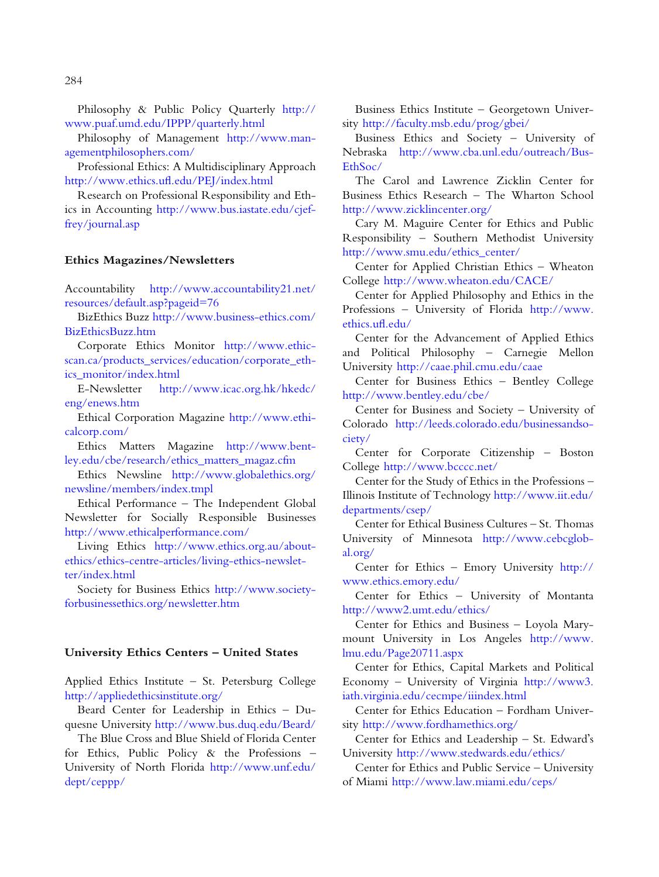Philosophy & Public Policy Quarterly [http://](http://www.puaf.umd.edu/IPPP/quarterly.html)  [www.puaf.umd.edu/IPPP/quarterly.html](http://www.puaf.umd.edu/IPPP/quarterly.html)

Philosophy of Management [http://www.man](http://www.managementphilosophers.com/)[agementphilosophers.com/](http://www.managementphilosophers.com/)

Professional Ethics: A Multidisciplinary Approach <http://www.ethics.ufl.edu/PEJ/index.html>

Research on Professional Responsibility and Ethics in Accounting [http://www.bus.iastate.edu/cjef](http://www.bus.iastate.edu/cjeffrey/journal.asp)[frey/journal.asp](http://www.bus.iastate.edu/cjeffrey/journal.asp)

#### Ethics Magazines/Newsletters

Accountability [http://www.accountability21.net/](http://www.accountability21.net/resources/default.asp?pageid=76)  [resources/default.asp?pageid=76](http://www.accountability21.net/resources/default.asp?pageid=76)

BizEthics Buzz [http://www.business-ethics.com/](http://www.business-ethics.com/BizEthicsBuzz.htm)  [BizEthicsBuzz.htm](http://www.business-ethics.com/BizEthicsBuzz.htm) 

Corporate Ethics Monitor [http://www.ethic](http://www.ethicscan.ca/products_services/education/corporate_ethics_monitor/index.html)[scan.ca/products\\_services/education/corporate\\_eth](http://www.ethicscan.ca/products_services/education/corporate_ethics_monitor/index.html)[ics\\_monitor/index.html](http://www.ethicscan.ca/products_services/education/corporate_ethics_monitor/index.html)

E-Newsletter [http://www.icac.org.hk/hkedc/](http://www.icac.org.hk/hkedc/eng/enews.htm)  [eng/enews.htm](http://www.icac.org.hk/hkedc/eng/enews.htm)

Ethical Corporation Magazine [http://www.ethi](http://www.ethicalcorp.com/)[calcorp.com/](http://www.ethicalcorp.com/) 

Ethics Matters Magazine [http://www.bent](http://www.bentley.edu/cbe/research/ethics_matters_magaz.cfm)[ley.edu/cbe/research/ethics\\_matters\\_magaz.cfm](http://www.bentley.edu/cbe/research/ethics_matters_magaz.cfm)

Ethics Newsline [http://www.globalethics.org/](http://www.globalethics.org/newsline/members/index.tmpl)  [newsline/members/index.tmpl](http://www.globalethics.org/newsline/members/index.tmpl) 

Ethical Performance – The Independent Global Newsletter for Socially Responsible Businesses <http://www.ethicalperformance.com/>

Living Ethics [http://www.ethics.org.au/about](http://www.ethics.org.au/about-ethics/ethics-centre-articles/living-ethics-newsletter/index.html)[ethics/ethics-centre-articles/living-ethics-newslet](http://www.ethics.org.au/about-ethics/ethics-centre-articles/living-ethics-newsletter/index.html)[ter/index.html](http://www.ethics.org.au/about-ethics/ethics-centre-articles/living-ethics-newsletter/index.html)

Society for Business Ethics [http://www.society](http://www.societyforbusinessethics.org/newsletter.htm)[forbusinessethics.org/newsletter.htm](http://www.societyforbusinessethics.org/newsletter.htm) 

#### University Ethics Centers – United States

Applied Ethics Institute – St. Petersburg College <http://appliedethicsinstitute.org/>

Beard Center for Leadership in Ethics – Duquesne University <http://www.bus.duq.edu/Beard/>

The Blue Cross and Blue Shield of Florida Center for Ethics, Public Policy & the Professions – University of North Florida [http://www.unf.edu/](http://www.unf.edu/dept/ceppp/)  [dept/ceppp/](http://www.unf.edu/dept/ceppp/)

Business Ethics Institute – Georgetown University <http://faculty.msb.edu/prog/gbei/>

Business Ethics and Society – University of Nebraska [http://www.cba.unl.edu/outreach/Bus-](http://www.cba.unl.edu/outreach/BusEthSoc/)[EthSoc/](http://www.cba.unl.edu/outreach/BusEthSoc/) 

The Carol and Lawrence Zicklin Center for Business Ethics Research – The Wharton School <http://www.zicklincenter.org/>

Cary M. Maguire Center for Ethics and Public Responsibility – Southern Methodist University [http://www.smu.edu/ethics\\_center/](http://www.smu.edu/ethics_center/)

Center for Applied Christian Ethics – Wheaton College <http://www.wheaton.edu/CACE/>

Center for Applied Philosophy and Ethics in the Professions – University of Florida [http://www.](http://www.ethics.ufl.edu/)  [ethics.ufl.edu/](http://www.ethics.ufl.edu/)

Center for the Advancement of Applied Ethics and Political Philosophy – Carnegie Mellon University <http://caae.phil.cmu.edu/caae>

Center for Business Ethics – Bentley College <http://www.bentley.edu/cbe/>

Center for Business and Society – University of Colorado [http://leeds.colorado.edu/businessandso](http://leeds.colorado.edu/businessandsociety/)[ciety/](http://leeds.colorado.edu/businessandsociety/)

Center for Corporate Citizenship – Boston College <http://www.bcccc.net/>

Center for the Study of Ethics in the Professions – Illinois Institute of Technology [http://www.iit.edu/](http://www.iit.edu/departments/csep/)  [departments/csep/](http://www.iit.edu/departments/csep/)

Center for Ethical Business Cultures – St. Thomas University of Minnesota [http://www.cebcglob](http://www.cebcglobal.org/)[al.org/](http://www.cebcglobal.org/) 

Center for Ethics – Emory University [http://](http://www.ethics.emory.edu/)  [www.ethics.emory.edu/](http://www.ethics.emory.edu/) 

Center for Ethics – University of Montanta <http://www2.umt.edu/ethics/>

Center for Ethics and Business – Loyola Marymount University in Los Angeles [http://www.](http://www.lmu.edu/Page20711.aspx)  [lmu.edu/Page20711.aspx](http://www.lmu.edu/Page20711.aspx) 

Center for Ethics, Capital Markets and Political Economy – University of Virginia [http://www3.](http://www3.iath.virginia.edu/cecmpe/iiindex.html)  [iath.virginia.edu/cecmpe/iiindex.html](http://www3.iath.virginia.edu/cecmpe/iiindex.html) 

Center for Ethics Education – Fordham University <http://www.fordhamethics.org/>

Center for Ethics and Leadership – St. Edward's University <http://www.stedwards.edu/ethics/>

Center for Ethics and Public Service – University of Miami <http://www.law.miami.edu/ceps/>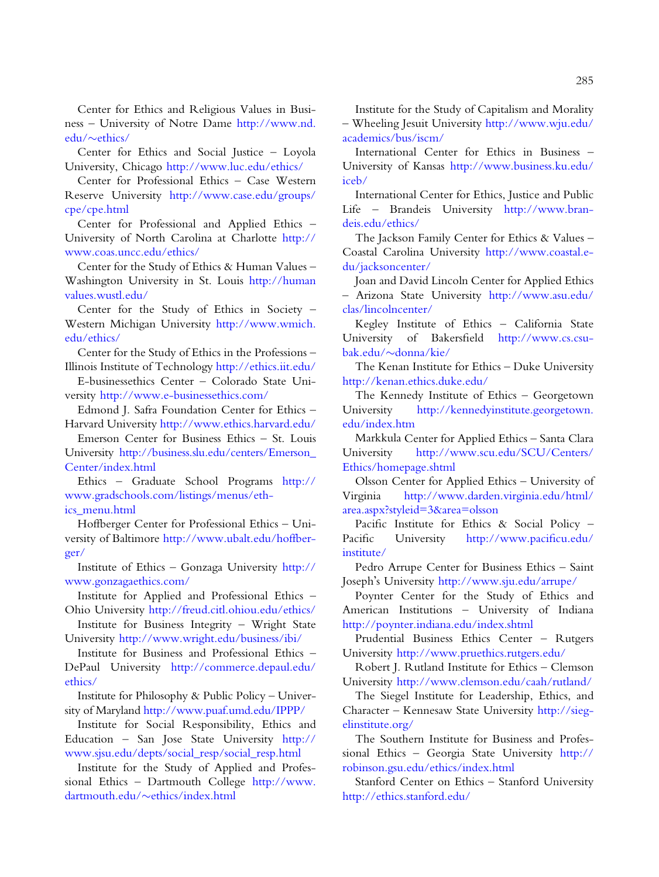Center for Ethics and Religious Values in Business – University of Notre Dame [http://www.nd.](http://www.nd.edu/∼ethics/)   $edu/\sim e$  $edu/\sim e$ thics/

Center for Ethics and Social Justice – Loyola University, Chicago <http://www.luc.edu/ethics/>

Center for Professional Ethics – Case Western Reserve University [http://www.case.edu/groups/](http://www.case.edu/groups/cpe/cpe.html)  [cpe/cpe.html](http://www.case.edu/groups/cpe/cpe.html)

Center for Professional and Applied Ethics – University of North Carolina at Charlotte [http://](http://www.coas.uncc.edu/ethics/)  [www.coas.uncc.edu/ethics/](http://www.coas.uncc.edu/ethics/) 

Center for the Study of Ethics & Human Values – Washington University in St. Louis [http://human](http://humanvalues.wustl.edu/)  [values.wustl.edu/](http://humanvalues.wustl.edu/)

Center for the Study of Ethics in Society – Western Michigan University [http://www.wmich.](http://www.wmich.edu/ethics/)  [edu/ethics/](http://www.wmich.edu/ethics/)

Center for the Study of Ethics in the Professions – Illinois Institute of Technology<http://ethics.iit.edu/>

E-businessethics Center – Colorado State University <http://www.e-businessethics.com/>

Edmond J. Safra Foundation Center for Ethics – Harvard University<http://www.ethics.harvard.edu/>

Emerson Center for Business Ethics – St. Louis University [http://business.slu.edu/centers/Emerson\\_](http://business.slu.edu/centers/Emerson_Center/index.html)  [Center/index.html](http://business.slu.edu/centers/Emerson_Center/index.html) 

Ethics – Graduate School Programs [http://](http://www.gradschools.com/listings/menus/ethics_menu.html)  [www.gradschools.com/listings/menus/eth](http://www.gradschools.com/listings/menus/ethics_menu.html)[ics\\_menu.html](http://www.gradschools.com/listings/menus/ethics_menu.html) 

Hoffberger Center for Professional Ethics – University of Baltimore [http://www.ubalt.edu/hoffber](http://www.ubalt.edu/hoffberger/)[ger/](http://www.ubalt.edu/hoffberger/)

Institute of Ethics – Gonzaga University [http://](http://www.gonzagaethics.com/)  [www.gonzagaethics.com/](http://www.gonzagaethics.com/) 

Institute for Applied and Professional Ethics – Ohio University <http://freud.citl.ohiou.edu/ethics/>

Institute for Business Integrity – Wright State University <http://www.wright.edu/business/ibi/>

Institute for Business and Professional Ethics – DePaul University [http://commerce.depaul.edu/](http://commerce.depaul.edu/ethics/)  [ethics/](http://commerce.depaul.edu/ethics/)

Institute for Philosophy & Public Policy – University of Maryland<http://www.puaf.umd.edu/IPPP/>

Institute for Social Responsibility, Ethics and Education – San Jose State University [http://](http://www.sjsu.edu/depts/social_resp/social_resp.html)  [www.sjsu.edu/depts/social\\_resp/social\\_resp.html](http://www.sjsu.edu/depts/social_resp/social_resp.html)

Institute for the Study of Applied and Professional Ethics – Dartmouth College [http://www.](http://www.dartmouth.edu/∼ethics/index.html)  [dartmouth.edu/](http://www.dartmouth.edu/∼ethics/index.html)~[ethics/index.html](http://www.dartmouth.edu/∼ethics/index.html)

Institute for the Study of Capitalism and Morality – Wheeling Jesuit University [http://www.wju.edu/](http://www.wju.edu/academics/bus/iscm/)  [academics/bus/iscm/](http://www.wju.edu/academics/bus/iscm/) 

International Center for Ethics in Business – University of Kansas [http://www.business.ku.edu/](http://www.business.ku.edu/iceb/)  [iceb/](http://www.business.ku.edu/iceb/)

International Center for Ethics, Justice and Public Life – Brandeis University [http://www.bran](http://www.brandeis.edu/ethics/)[deis.edu/ethics/](http://www.brandeis.edu/ethics/)

The Jackson Family Center for Ethics & Values – Coastal Carolina University [http://www.coastal.e](http://www.coastal.edu/jacksoncenter/)[du/jacksoncenter/](http://www.coastal.edu/jacksoncenter/) 

Joan and David Lincoln Center for Applied Ethics – Arizona State University [http://www.asu.edu/](http://www.asu.edu/clas/lincolncenter/)  [clas/lincolncenter/](http://www.asu.edu/clas/lincolncenter/)

Kegley Institute of Ethics – California State University of Bakersfield [http://www.cs.csu](http://www.cs.csubak.edu/∼donna/kie/)[bak.edu/](http://www.cs.csubak.edu/∼donna/kie/)~[donna/kie/](http://www.cs.csubak.edu/∼donna/kie/)

The Kenan Institute for Ethics – Duke University <http://kenan.ethics.duke.edu/>

The Kennedy Institute of Ethics – Georgetown University [http://kennedyinstitute.georgetown.](http://kennedyinstitute.georgetown.edu/index.htm)  [edu/index.htm](http://kennedyinstitute.georgetown.edu/index.htm)

Markkula Center for Applied Ethics – Santa Clara University [http://www.scu.edu/SCU/Centers/](http://www.scu.edu/SCU/Centers/Ethics/homepage.shtml)  [Ethics/homepage.shtml](http://www.scu.edu/SCU/Centers/Ethics/homepage.shtml) 

Olsson Center for Applied Ethics – University of Virginia [http://www.darden.virginia.edu/html/](http://www.darden.virginia.edu/html/area.aspx?styleid=3&area=olsson)  [area.aspx?styleid=3&area=olsson](http://www.darden.virginia.edu/html/area.aspx?styleid=3&area=olsson) 

Pacific Institute for Ethics & Social Policy – Pacific University [http://www.pacificu.edu/](http://www.pacificu.edu/institute/)  [institute/](http://www.pacificu.edu/institute/)

Pedro Arrupe Center for Business Ethics – Saint Joseph's University <http://www.sju.edu/arrupe/>

Poynter Center for the Study of Ethics and American Institutions – University of Indiana <http://poynter.indiana.edu/index.shtml>

Prudential Business Ethics Center – Rutgers University <http://www.pruethics.rutgers.edu/>

Robert J. Rutland Institute for Ethics – Clemson University <http://www.clemson.edu/caah/rutland/>

The Siegel Institute for Leadership, Ethics, and Character – Kennesaw State University [http://sieg](http://siegelinstitute.org/)[elinstitute.org/](http://siegelinstitute.org/)

The Southern Institute for Business and Professional Ethics – Georgia State University [http://](http://robinson.gsu.edu/ethics/index.html)  [robinson.gsu.edu/ethics/index.html](http://robinson.gsu.edu/ethics/index.html)

Stanford Center on Ethics – Stanford University <http://ethics.stanford.edu/>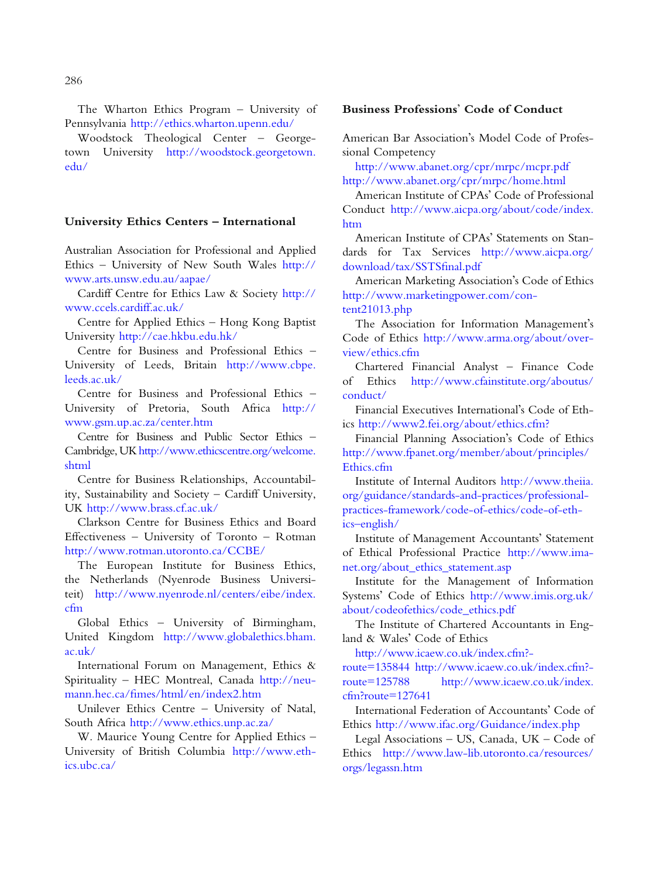The Wharton Ethics Program – University of Pennsylvania <http://ethics.wharton.upenn.edu/>

Woodstock Theological Center – Georgetown University [http://woodstock.georgetown.](http://woodstock.georgetown.edu/)  [edu/](http://woodstock.georgetown.edu/)

#### University Ethics Centers – International

Australian Association for Professional and Applied Ethics – University of New South Wales [http://](http://www.arts.unsw.edu.au/aapae/)  [www.arts.unsw.edu.au/aapae/](http://www.arts.unsw.edu.au/aapae/) 

Cardiff Centre for Ethics Law & Society [http://](http://www.ccels.cardiff.ac.uk/)  [www.ccels.cardiff.ac.uk/](http://www.ccels.cardiff.ac.uk/)

Centre for Applied Ethics – Hong Kong Baptist University <http://cae.hkbu.edu.hk/>

Centre for Business and Professional Ethics – University of Leeds, Britain [http://www.cbpe.](http://www.cbpe.leeds.ac.uk/)  [leeds.ac.uk/](http://www.cbpe.leeds.ac.uk/)

Centre for Business and Professional Ethics – University of Pretoria, South Africa [http://](http://www.gsm.up.ac.za/center.htm)  [www.gsm.up.ac.za/center.htm](http://www.gsm.up.ac.za/center.htm)

Centre for Business and Public Sector Ethics – Cambridge, UK [http://www.ethicscentre.org/welcome.](http://www.ethicscentre.org/welcome.shtml) [shtml](http://www.ethicscentre.org/welcome.shtml) 

Centre for Business Relationships, Accountability, Sustainability and Society – Cardiff University, UK <http://www.brass.cf.ac.uk/>

Clarkson Centre for Business Ethics and Board Effectiveness – University of Toronto – Rotman <http://www.rotman.utoronto.ca/CCBE/>

The European Institute for Business Ethics, the Netherlands (Nyenrode Business Universiteit) [http://www.nyenrode.nl/centers/eibe/index.](http://www.nyenrode.nl/centers/eibe/index.cfm)  [cfm](http://www.nyenrode.nl/centers/eibe/index.cfm) 

Global Ethics – University of Birmingham, United Kingdom [http://www.globalethics.bham.](http://www.globalethics.bham.ac.uk/)  [ac.uk/](http://www.globalethics.bham.ac.uk/) 

International Forum on Management, Ethics & Spirituality – HEC Montreal, Canada [http://neu](http://neumann.hec.ca/fimes/html/en/index2.htm)[mann.hec.ca/fimes/html/en/index2.htm](http://neumann.hec.ca/fimes/html/en/index2.htm)

Unilever Ethics Centre – University of Natal, South Africa <http://www.ethics.unp.ac.za/>

W. Maurice Young Centre for Applied Ethics – University of British Columbia [http://www.eth](http://www.ethics.ubc.ca/)[ics.ubc.ca/](http://www.ethics.ubc.ca/) 

#### Business Professions' Code of Conduct

American Bar Association's Model Code of Professional Competency

<http://www.abanet.org/cpr/mrpc/mcpr.pdf> <http://www.abanet.org/cpr/mrpc/home.html>

American Institute of CPAs' Code of Professional Conduct [http://www.aicpa.org/about/code/index.](http://www.aicpa.org/about/code/index.htm)  [htm](http://www.aicpa.org/about/code/index.htm)

American Institute of CPAs' Statements on Standards for Tax Services [http://www.aicpa.org/](http://www.aicpa.org/download/tax/SSTSfinal.pdf)  [download/tax/SSTSfinal.pdf](http://www.aicpa.org/download/tax/SSTSfinal.pdf) 

American Marketing Association's Code of Ethics [http://www.marketingpower.com/con](http://www.marketingpower.com/content21013.php)[tent21013.php](http://www.marketingpower.com/content21013.php) 

The Association for Information Management's Code of Ethics [http://www.arma.org/about/over](http://www.arma.org/about/overview/ethics.cfm)[view/ethics.cfm](http://www.arma.org/about/overview/ethics.cfm)

Chartered Financial Analyst – Finance Code of Ethics [http://www.cfainstitute.org/aboutus/](http://www.cfainstitute.org/aboutus/conduct/)  [conduct/](http://www.cfainstitute.org/aboutus/conduct/) 

Financial Executives International's Code of Ethics <http://www2.fei.org/about/ethics.cfm?>

Financial Planning Association's Code of Ethics [http://www.fpanet.org/member/about/principles/](http://www.fpanet.org/member/about/principles/Ethics.cfm)  [Ethics.cfm](http://www.fpanet.org/member/about/principles/Ethics.cfm) 

Institute of Internal Auditors [http://www.theiia.](http://www.theiia.org/guidance/standards-and-practices/professional-practices-framework/code-of-ethics/code-of-ethics-english/)  [org/guidance/standards-and-practices/professional](http://www.theiia.org/guidance/standards-and-practices/professional-practices-framework/code-of-ethics/code-of-ethics-english/)[practices-framework/code-of-ethics/code-of-eth](http://www.theiia.org/guidance/standards-and-practices/professional-practices-framework/code-of-ethics/code-of-ethics-english/)[ics–english/](http://www.theiia.org/guidance/standards-and-practices/professional-practices-framework/code-of-ethics/code-of-ethics-english/)

Institute of Management Accountants' Statement of Ethical Professional Practice [http://www.ima](http://www.imanet.org/about_ethics_statement.asp)[net.org/about\\_ethics\\_statement.asp](http://www.imanet.org/about_ethics_statement.asp) 

Institute for the Management of Information Systems' Code of Ethics [http://www.imis.org.uk/](http://www.imis.org.uk/about/codeofethics/code_ethics.pdf)  [about/codeofethics/code\\_ethics.pdf](http://www.imis.org.uk/about/codeofethics/code_ethics.pdf)

The Institute of Chartered Accountants in England & Wales' Code of Ethics

[http://www.icaew.co.uk/index.cfm?](http://www.icaew.co.uk/index.cfm?route=135844)

[route=135844](http://www.icaew.co.uk/index.cfm?route=135844) [http://www.icaew.co.uk/index.cfm?](http://www.icaew.co.uk/index.cfm?route=125788) [route=125788](http://www.icaew.co.uk/index.cfm?route=125788) [http://www.icaew.co.uk/index.](http://www.icaew.co.uk/index.cfm?route=127641)  [cfm?route=127641](http://www.icaew.co.uk/index.cfm?route=127641) 

International Federation of Accountants' Code of Ethics <http://www.ifac.org/Guidance/index.php>

Legal Associations – US, Canada, UK – Code of Ethics [http://www.law-lib.utoronto.ca/resources/](http://www.law-lib.utoronto.ca/resources/orgs/legassn.htm)  [orgs/legassn.htm](http://www.law-lib.utoronto.ca/resources/orgs/legassn.htm)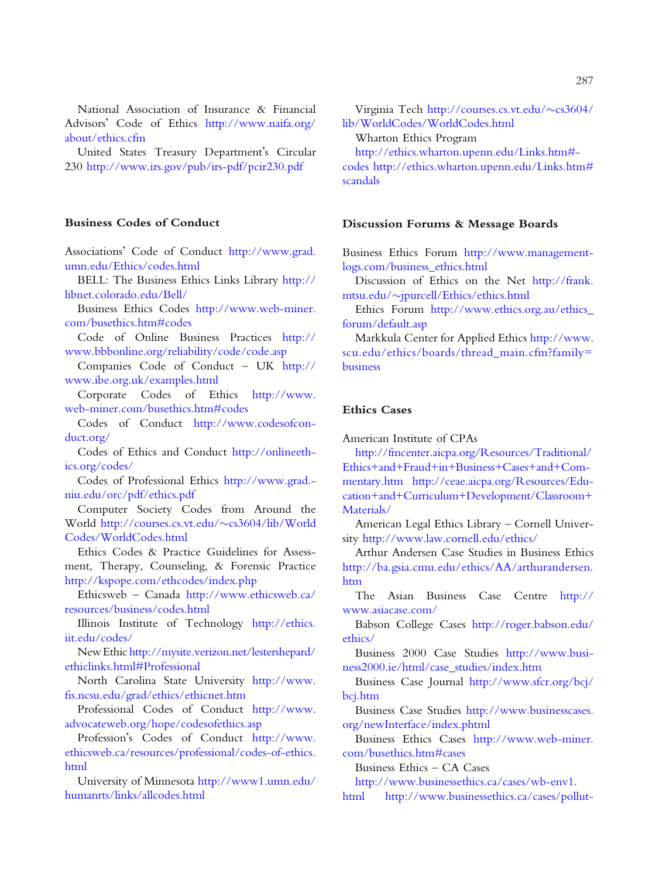National Association of Insurance & Financial Advisors' Code of Ethics [http://www.naifa.org/](http://www.naifa.org/about/ethics.cfm)  [about/ethics.cfm](http://www.naifa.org/about/ethics.cfm) 

United States Treasury Department's Circular 230 <http://www.irs.gov/pub/irs-pdf/pcir230.pdf>

#### Business Codes of Conduct

Associations' Code of Conduct [http://www.grad.](http://www.grad.umn.edu/Ethics/codes.html)  [umn.edu/Ethics/codes.html](http://www.grad.umn.edu/Ethics/codes.html) 

BELL: The Business Ethics Links Library [http://](http://libnet.colorado.edu/Bell/)  [libnet.colorado.edu/Bell/](http://libnet.colorado.edu/Bell/) 

Business Ethics Codes [http://www.web-miner.](http://www.web-miner.com/busethics.htm#codes)  [com/busethics.htm#codes](http://www.web-miner.com/busethics.htm#codes)

Code of Online Business Practices [http://](http://www.bbbonline.org/reliability/code/code.asp)  [www.bbbonline.org/reliability/code/code.asp](http://www.bbbonline.org/reliability/code/code.asp)

Companies Code of Conduct – UK [http://](http://www.ibe.org.uk/examples.html)  [www.ibe.org.uk/examples.html](http://www.ibe.org.uk/examples.html) 

Corporate Codes of Ethics [http://www.](http://www.web-miner.com/busethics.htm#codes)  [web-miner.com/busethics.htm#codes](http://www.web-miner.com/busethics.htm#codes)

Codes of Conduct [http://www.codesofcon](http://www.codesofconduct.org/)[duct.org/](http://www.codesofconduct.org/) 

Codes of Ethics and Conduct [http://onlineeth](http://onlineethics.org/codes/)[ics.org/codes/](http://onlineethics.org/codes/) 

Codes of Professional Ethics [http://www.grad.](http://www.grad.niu.edu/orc/pdf/ethics.pdf) [niu.edu/orc/pdf/ethics.pdf](http://www.grad.niu.edu/orc/pdf/ethics.pdf) 

Computer Society Codes from Around the World [http://courses.cs.vt.edu/](http://courses.cs.vt.edu/∼cs3604/lib/WorldCodes/WorldCodes.html)~cs3604/lib/World [Codes/WorldCodes.html](http://courses.cs.vt.edu/∼cs3604/lib/WorldCodes/WorldCodes.html)

Ethics Codes & Practice Guidelines for Assessment, Therapy, Counseling, & Forensic Practice <http://kspope.com/ethcodes/index.php>

Ethicsweb – Canada [http://www.ethicsweb.ca/](http://www.ethicsweb.ca/resources/business/codes.html)  [resources/business/codes.html](http://www.ethicsweb.ca/resources/business/codes.html) 

Illinois Institute of Technology [http://ethics.](http://ethics.iit.edu/codes/)  [iit.edu/codes/](http://ethics.iit.edu/codes/)

New Ethic [http://mysite.verizon.net/lestershepard/](http://mysite.verizon.net/lestershepard/ethiclinks.html#Professional)  [ethiclinks.html#Professional](http://mysite.verizon.net/lestershepard/ethiclinks.html#Professional)

North Carolina State University [http://www.](http://www.fis.ncsu.edu/grad/ethics/ethicnet.htm)  [fis.ncsu.edu/grad/ethics/ethicnet.htm](http://www.fis.ncsu.edu/grad/ethics/ethicnet.htm)

Professional Codes of Conduct [http://www.](http://www.advocateweb.org/hope/codesofethics.asp)  [advocateweb.org/hope/codesofethics.asp](http://www.advocateweb.org/hope/codesofethics.asp) 

Profession's Codes of Conduct [http://www.](http://www.ethicsweb.ca/resources/professional/codes-of-ethics.html)  [ethicsweb.ca/resources/professional/codes-of-ethics.](http://www.ethicsweb.ca/resources/professional/codes-of-ethics.html) [html](http://www.ethicsweb.ca/resources/professional/codes-of-ethics.html) 

University of Minnesota [http://www1.umn.edu/](http://www1.umn.edu/humanrts/links/allcodes.html)  [humanrts/links/allcodes.html](http://www1.umn.edu/humanrts/links/allcodes.html)

Virginia Tech [http://courses.cs.vt.edu/](http://courses.cs.vt.edu/∼cs3604/lib/WorldCodes/WorldCodes.html) $\sim$ cs3604/ [lib/WorldCodes/WorldCodes.html](http://courses.cs.vt.edu/∼cs3604/lib/WorldCodes/WorldCodes.html) 

Wharton Ethics Program

[http://ethics.wharton.upenn.edu/Links.htm#](http://ethics.wharton.upenn.edu/Links.htm#codes) [codes](http://ethics.wharton.upenn.edu/Links.htm#codes) http://ethics.wharton.upenn.edu/Links.htm# [scandals](http://ethics.wharton.upenn.edu/Links.htm#scandals)

#### Discussion Forums & Message Boards

Business Ethics Forum [http://www.management](http://www.managementlogs.com/business_ethics.html)[logs.com/business\\_ethics.html](http://www.managementlogs.com/business_ethics.html) 

Discussion of Ethics on the Net [http://frank.](http://frank.mtsu.edu/∼jpurcell/Ethics/ethics.html)  [mtsu.edu/](http://frank.mtsu.edu/∼jpurcell/Ethics/ethics.html)~jpurcell/Ethics/ethics.html

Ethics Forum [http://www.ethics.org.au/ethics\\_](http://www.ethics.org.au/ethics_forum/default.asp)  [forum/default.asp](http://www.ethics.org.au/ethics_forum/default.asp)

Markkula Center for Applied Ethics [http://www.](http://www.scu.edu/ethics/boards/thread_main.cfm?family=business)  [scu.edu/ethics/boards/thread\\_main.cfm?family=](http://www.scu.edu/ethics/boards/thread_main.cfm?family=business)  [business](http://www.scu.edu/ethics/boards/thread_main.cfm?family=business)

### Ethics Cases

American Institute of CPAs

[http://fmcenter.aicpa.org/Resources/Traditional/](http://fmcenter.aicpa.org/Resources/Traditional/Ethics+and+Fraud+in+Business+Cases+and+Commentary.htm) [Ethics+and+Fraud+in+Business+Cases+and+Com](http://fmcenter.aicpa.org/Resources/Traditional/Ethics+and+Fraud+in+Business+Cases+and+Commentary.htm)[mentary.htm](http://fmcenter.aicpa.org/Resources/Traditional/Ethics+and+Fraud+in+Business+Cases+and+Commentary.htm) [http://ceae.aicpa.org/Resources/Edu](http://ceae.aicpa.org/Resources/Education+and+Curriculum+Development/Classroom+Materials/)[cation+and+Curriculum+Development/Classroom+](http://ceae.aicpa.org/Resources/Education+and+Curriculum+Development/Classroom+Materials/)  [Materials/](http://ceae.aicpa.org/Resources/Education+and+Curriculum+Development/Classroom+Materials/) 

American Legal Ethics Library – Cornell University <http://www.law.cornell.edu/ethics/>

Arthur Andersen Case Studies in Business Ethics [http://ba.gsia.cmu.edu/ethics/AA/arthurandersen.](http://ba.gsia.cmu.edu/ethics/AA/arthurandersen.htm) [htm](http://ba.gsia.cmu.edu/ethics/AA/arthurandersen.htm)

The Asian Business Case Centre [http://](http://www.asiacase.com/)  [www.asiacase.com/](http://www.asiacase.com/) 

Babson College Cases [http://roger.babson.edu/](http://roger.babson.edu/ethics/)  [ethics/](http://roger.babson.edu/ethics/)

Business 2000 Case Studies [http://www.busi](http://www.business2000.ie/html/case_studies/index.htm)[ness2000.ie/html/case\\_studies/index.htm](http://www.business2000.ie/html/case_studies/index.htm) 

Business Case Journal [http://www.sfcr.org/bcj/](http://www.sfcr.org/bcj/bcj.htm)  [bcj.htm](http://www.sfcr.org/bcj/bcj.htm) 

Business Case Studies [http://www.businesscases.](http://www.businesscases.org/newInterface/index.phtml)  [org/newInterface/index.phtml](http://www.businesscases.org/newInterface/index.phtml)

Business Ethics Cases [http://www.web-miner.](http://www.web-miner.com/busethics.htm#cases)  [com/busethics.htm#cases](http://www.web-miner.com/busethics.htm#cases) 

Business Ethics – CA Cases

[http://www.businessethics.ca/cases/wb-env1.](http://www.businessethics.ca/cases/wb-env1.html) 

[html](http://www.businessethics.ca/cases/wb-env1.html) [http://www.businessethics.ca/cases/pollut](http://www.businessethics.ca/cases/pollutersdilemma1.html)